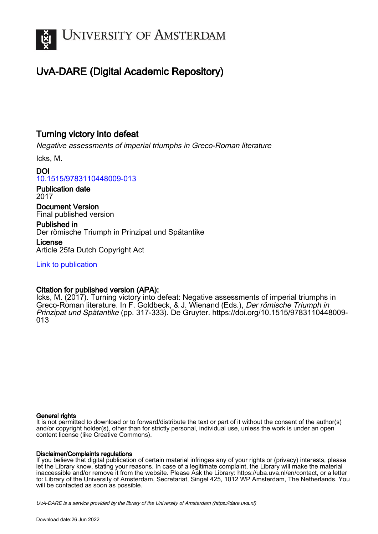

# UvA-DARE (Digital Academic Repository)

### Turning victory into defeat

Negative assessments of imperial triumphs in Greco-Roman literature

Icks, M.

DOI [10.1515/9783110448009-013](https://doi.org/10.1515/9783110448009-013)

Publication date 2017

Document Version Final published version

Published in Der römische Triumph in Prinzipat und Spätantike

License Article 25fa Dutch Copyright Act

[Link to publication](https://dare.uva.nl/personal/pure/en/publications/turning-victory-into-defeat(c26d54a3-c416-4f77-8f50-b913cd54dafa).html)

#### Citation for published version (APA):

Icks, M. (2017). Turning victory into defeat: Negative assessments of imperial triumphs in Greco-Roman literature. In F. Goldbeck, & J. Wienand (Eds.), Der römische Triumph in Prinzipat und Spätantike (pp. 317-333). De Gruyter. [https://doi.org/10.1515/9783110448009-](https://doi.org/10.1515/9783110448009-013) [013](https://doi.org/10.1515/9783110448009-013)

#### General rights

It is not permitted to download or to forward/distribute the text or part of it without the consent of the author(s) and/or copyright holder(s), other than for strictly personal, individual use, unless the work is under an open content license (like Creative Commons).

#### Disclaimer/Complaints regulations

If you believe that digital publication of certain material infringes any of your rights or (privacy) interests, please let the Library know, stating your reasons. In case of a legitimate complaint, the Library will make the material inaccessible and/or remove it from the website. Please Ask the Library: https://uba.uva.nl/en/contact, or a letter to: Library of the University of Amsterdam, Secretariat, Singel 425, 1012 WP Amsterdam, The Netherlands. You will be contacted as soon as possible.

UvA-DARE is a service provided by the library of the University of Amsterdam (http*s*://dare.uva.nl)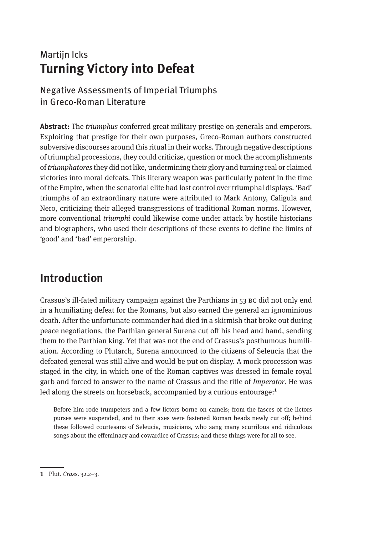## Martijn Icks **Turning Victory into Defeat**

### Negative Assessments of Imperial Triumphs in Greco-Roman Literature

**Abstract:** The *triumphus* conferred great military prestige on generals and emperors. Exploiting that prestige for their own purposes, Greco-Roman authors constructed subversive discourses around this ritual in their works. Through negative descriptions of triumphal processions, they could criticize, question or mock the accomplishments of *triumphatores* they did not like, undermining their glory and turning real or claimed victories into moral defeats. This literary weapon was particularly potent in the time of the Empire, when the senatorial elite had lost control over triumphal displays. 'Bad' triumphs of an extraordinary nature were attributed to Mark Antony, Caligula and Nero, criticizing their alleged transgressions of traditional Roman norms. However, more conventional *triumphi* could likewise come under attack by hostile historians and biographers, who used their descriptions of these events to define the limits of 'good' and 'bad' emperorship.

# **Introduction**

Crassus's ill-fated military campaign against the Parthians in 53 bc did not only end in a humiliating defeat for the Romans, but also earned the general an ignominious death. After the unfortunate commander had died in a skirmish that broke out during peace negotiations, the Parthian general Surena cut off his head and hand, sending them to the Parthian king. Yet that was not the end of Crassus's posthumous humiliation. According to Plutarch, Surena announced to the citizens of Seleucia that the defeated general was still alive and would be put on display. A mock procession was staged in the city, in which one of the Roman captives was dressed in female royal garb and forced to answer to the name of Crassus and the title of *Imperator*. He was led along the streets on horseback, accompanied by a curious entourage: $1$ 

Before him rode trumpeters and a few lictors borne on camels; from the fasces of the lictors purses were suspended, and to their axes were fastened Roman heads newly cut off; behind these followed courtesans of Seleucia, musicians, who sang many scurrilous and ridiculous songs about the effeminacy and cowardice of Crassus; and these things were for all to see.

**<sup>1</sup>** Plut. *Crass.* 32.2–3.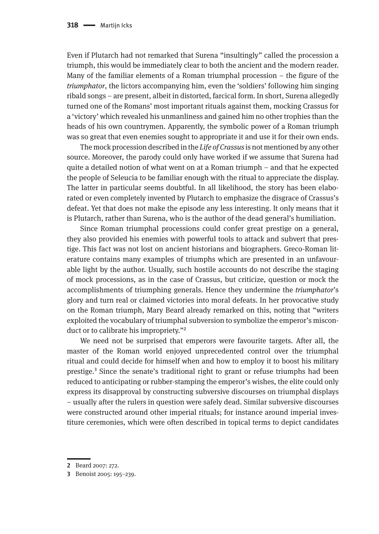Even if Plutarch had not remarked that Surena "insultingly" called the procession a triumph, this would be immediately clear to both the ancient and the modern reader. Many of the familiar elements of a Roman triumphal procession – the figure of the *triumphator*, the lictors accompanying him, even the 'soldiers' following him singing ribald songs – are present, albeit in distorted, farcical form. In short, Surena allegedly turned one of the Romans' most important rituals against them, mocking Crassus for a 'victory' which revealed his unmanliness and gained him no other trophies than the heads of his own countrymen. Apparently, the symbolic power of a Roman triumph was so great that even enemies sought to appropriate it and use it for their own ends.

The mock procession described in the *Life of Crassus* is not mentioned by any other source. Moreover, the parody could only have worked if we assume that Surena had quite a detailed notion of what went on at a Roman triumph – and that he expected the people of Seleucia to be familiar enough with the ritual to appreciate the display. The latter in particular seems doubtful. In all likelihood, the story has been elaborated or even completely invented by Plutarch to emphasize the disgrace of Crassus's defeat. Yet that does not make the episode any less interesting. It only means that it is Plutarch, rather than Surena, who is the author of the dead general's humiliation.

Since Roman triumphal processions could confer great prestige on a general, they also provided his enemies with powerful tools to attack and subvert that prestige. This fact was not lost on ancient historians and biographers. Greco-Roman literature contains many examples of triumphs which are presented in an unfavourable light by the author. Usually, such hostile accounts do not describe the staging of mock processions, as in the case of Crassus, but criticize, question or mock the accomplishments of triumphing generals. Hence they undermine the *triumphator*'s glory and turn real or claimed victories into moral defeats. In her provocative study on the Roman triumph, Mary Beard already remarked on this, noting that "writers exploited the vocabulary of triumphal subversion to symbolize the emperor's misconduct or to calibrate his impropriety."<sup>2</sup>

We need not be surprised that emperors were favourite targets. After all, the master of the Roman world enjoyed unprecedented control over the triumphal ritual and could decide for himself when and how to employ it to boost his military prestige.3 Since the senate's traditional right to grant or refuse triumphs had been reduced to anticipating or rubber-stamping the emperor's wishes, the elite could only express its disapproval by constructing subversive discourses on triumphal displays – usually after the rulers in question were safely dead. Similar subversive discourses were constructed around other imperial rituals; for instance around imperial investiture ceremonies, which were often described in topical terms to depict candidates

**<sup>2</sup>** Beard 2007: 272.

**<sup>3</sup>** Benoist 2005: 195–239.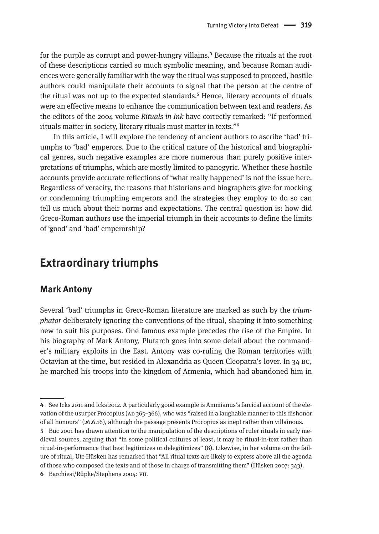for the purple as corrupt and power-hungry villains.<sup>4</sup> Because the rituals at the root of these descriptions carried so much symbolic meaning, and because Roman audiences were generally familiar with the way the ritual was supposed to proceed, hostile authors could manipulate their accounts to signal that the person at the centre of the ritual was not up to the expected standards.<sup>5</sup> Hence, literary accounts of rituals were an effective means to enhance the communication between text and readers. As the editors of the 2004 volume *Rituals in Ink* have correctly remarked: "If performed rituals matter in society, literary rituals must matter in texts."6

In this article, I will explore the tendency of ancient authors to ascribe 'bad' triumphs to 'bad' emperors. Due to the critical nature of the historical and biographical genres, such negative examples are more numerous than purely positive interpretations of triumphs, which are mostly limited to panegyric. Whether these hostile accounts provide accurate reflections of 'what really happened' is not the issue here. Regardless of veracity, the reasons that historians and biographers give for mocking or condemning triumphing emperors and the strategies they employ to do so can tell us much about their norms and expectations. The central question is: how did Greco-Roman authors use the imperial triumph in their accounts to define the limits of 'good' and 'bad' emperorship?

### **Extraordinary triumphs**

#### **Mark Antony**

Several 'bad' triumphs in Greco-Roman literature are marked as such by the *triumphator* deliberately ignoring the conventions of the ritual, shaping it into something new to suit his purposes. One famous example precedes the rise of the Empire. In his biography of Mark Antony, Plutarch goes into some detail about the commander's military exploits in the East. Antony was co-ruling the Roman territories with Octavian at the time, but resided in Alexandria as Queen Cleopatra's lover. In 34 bc, he marched his troops into the kingdom of Armenia, which had abandoned him in

**<sup>4</sup>** See Icks 2011 and Icks 2012. A particularly good example is Ammianus's farcical account of the elevation of the usurper Procopius (AD 365–366), who was "raised in a laughable manner to this dishonor of all honours" (26.6.16), although the passage presents Procopius as inept rather than villainous.

**<sup>5</sup>** Buc 2001 has drawn attention to the manipulation of the descriptions of ruler rituals in early medieval sources, arguing that "in some political cultures at least, it may be ritual-in-text rather than ritual-in-performance that best legitimizes or delegitimizes" (8). Likewise, in her volume on the failure of ritual, Ute Hüsken has remarked that "All ritual texts are likely to express above all the agenda of those who composed the texts and of those in charge of transmitting them" (Hüsken 2007: 343).

**<sup>6</sup>** Barchiesi/Rüpke/Stephens 2004: vii.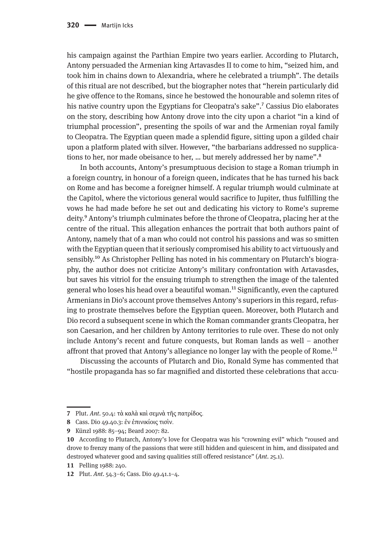his campaign against the Parthian Empire two years earlier. According to Plutarch, Antony persuaded the Armenian king Artavasdes II to come to him, "seized him, and took him in chains down to Alexandria, where he celebrated a triumph". The details of this ritual are not described, but the biographer notes that "herein particularly did he give offence to the Romans, since he bestowed the honourable and solemn rites of his native country upon the Egyptians for Cleopatra's sake".<sup>7</sup> Cassius Dio elaborates on the story, describing how Antony drove into the city upon a chariot "in a kind of triumphal procession", presenting the spoils of war and the Armenian royal family to Cleopatra. The Egyptian queen made a splendid figure, sitting upon a gilded chair upon a platform plated with silver. However, "the barbarians addressed no supplications to her, nor made obeisance to her, ... but merely addressed her by name".<sup>8</sup>

In both accounts, Antony's presumptuous decision to stage a Roman triumph in a foreign country, in honour of a foreign queen, indicates that he has turned his back on Rome and has become a foreigner himself. A regular triumph would culminate at the Capitol, where the victorious general would sacrifice to Jupiter, thus fulfilling the vows he had made before he set out and dedicating his victory to Rome's supreme deity.9 Antony's triumph culminates before the throne of Cleopatra, placing her at the centre of the ritual. This allegation enhances the portrait that both authors paint of Antony, namely that of a man who could not control his passions and was so smitten with the Egyptian queen that it seriously compromised his ability to act virtuously and sensibly.<sup>10</sup> As Christopher Pelling has noted in his commentary on Plutarch's biography, the author does not criticize Antony's military confrontation with Artavasdes, but saves his vitriol for the ensuing triumph to strengthen the image of the talented general who loses his head over a beautiful woman.11 Significantly, even the captured Armenians in Dio's account prove themselves Antony's superiors in this regard, refusing to prostrate themselves before the Egyptian queen. Moreover, both Plutarch and Dio record a subsequent scene in which the Roman commander grants Cleopatra, her son Caesarion, and her children by Antony territories to rule over. These do not only include Antony's recent and future conquests, but Roman lands as well – another affront that proved that Antony's allegiance no longer lay with the people of Rome.<sup>12</sup>

Discussing the accounts of Plutarch and Dio, Ronald Syme has commented that "hostile propaganda has so far magnified and distorted these celebrations that accu-

**<sup>7</sup>** Plut. *Ant.* 50.4: τὰ καλὰ καὶ σεμνὰ τῆς πατρίδος.

**<sup>8</sup>** Cass. Dio 49.40.3: ἐν ἐπινικίοις τισὶν.

**<sup>9</sup>** Künzl 1988: 85–94; Beard 2007: 82.

**<sup>10</sup>** According to Plutarch, Antony's love for Cleopatra was his "crowning evil" which "roused and drove to frenzy many of the passions that were still hidden and quiescent in him, and dissipated and destroyed whatever good and saving qualities still offered resistance" (*Ant.* 25.1).

**<sup>11</sup>** Pelling 1988: 240.

**<sup>12</sup>** Plut. *Ant.* 54.3–6; Cass. Dio 49.41.1–4.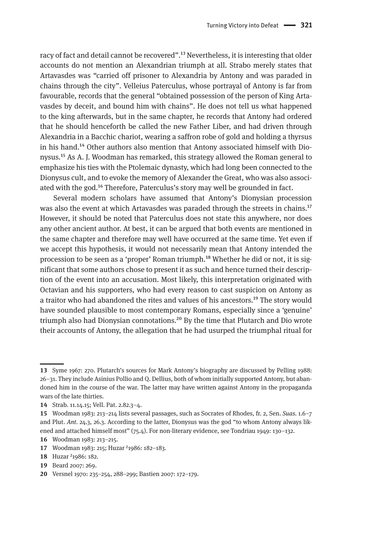racy of fact and detail cannot be recovered".<sup>13</sup> Nevertheless, it is interesting that older accounts do not mention an Alexandrian triumph at all. Strabo merely states that Artavasdes was "carried off prisoner to Alexandria by Antony and was paraded in chains through the city". Velleius Paterculus, whose portrayal of Antony is far from favourable, records that the general "obtained possession of the person of King Artavasdes by deceit, and bound him with chains". He does not tell us what happened to the king afterwards, but in the same chapter, he records that Antony had ordered that he should henceforth be called the new Father Liber, and had driven through Alexandria in a Bacchic chariot, wearing a saffron robe of gold and holding a thyrsus in his hand.14 Other authors also mention that Antony associated himself with Dionysus.15 As A. J. Woodman has remarked, this strategy allowed the Roman general to emphasize his ties with the Ptolemaic dynasty, which had long been connected to the Dionysus cult, and to evoke the memory of Alexander the Great, who was also associated with the god.<sup>16</sup> Therefore, Paterculus's story may well be grounded in fact.

Several modern scholars have assumed that Antony's Dionysian procession was also the event at which Artavasdes was paraded through the streets in chains.<sup>17</sup> However, it should be noted that Paterculus does not state this anywhere, nor does any other ancient author. At best, it can be argued that both events are mentioned in the same chapter and therefore may well have occurred at the same time. Yet even if we accept this hypothesis, it would not necessarily mean that Antony intended the procession to be seen as a 'proper' Roman triumph.<sup>18</sup> Whether he did or not, it is significant that some authors chose to present it as such and hence turned their description of the event into an accusation. Most likely, this interpretation originated with Octavian and his supporters, who had every reason to cast suspicion on Antony as a traitor who had abandoned the rites and values of his ancestors.<sup>19</sup> The story would have sounded plausible to most contemporary Romans, especially since a 'genuine' triumph also had Dionysian connotations.<sup>20</sup> By the time that Plutarch and Dio wrote their accounts of Antony, the allegation that he had usurped the triumphal ritual for

**<sup>13</sup>** Syme 1967: 270. Plutarch's sources for Mark Antony's biography are discussed by Pelling 1988: 26–31. They include Asinius Pollio and Q. Dellius, both of whom initially supported Antony, but abandoned him in the course of the war. The latter may have written against Antony in the propaganda wars of the late thirties.

**<sup>14</sup>** Strab. 11.14.15; Vell. Pat. 2.82.3–4.

**<sup>15</sup>** Woodman 1983: 213–214 lists several passages, such as Socrates of Rhodes, fr. 2, Sen. *Suas.* 1.6–7 and Plut. *Ant.* 24.3, 26.3. According to the latter, Dionysus was the god "to whom Antony always likened and attached himself most" (75.4). For non-literary evidence, see Tondriau 1949: 130–132.

**<sup>16</sup>** Woodman 1983: 213–215.

**<sup>17</sup>** Woodman 1983: 215; Huzar ²1986: 182–183.

**<sup>18</sup>** Huzar ²1986: 182.

**<sup>19</sup>** Beard 2007: 269.

**<sup>20</sup>** Versnel 1970: 235–254, 288–299; Bastien 2007: 172–179.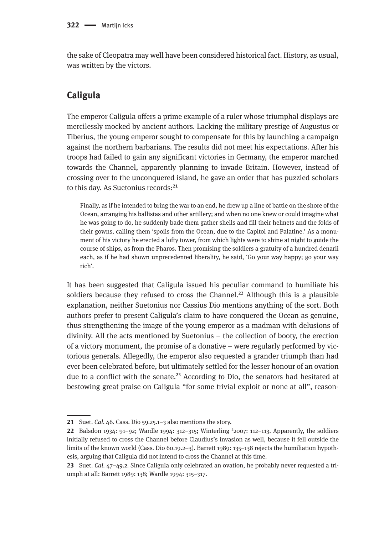the sake of Cleopatra may well have been considered historical fact. History, as usual, was written by the victors.

#### **Caligula**

The emperor Caligula offers a prime example of a ruler whose triumphal displays are mercilessly mocked by ancient authors. Lacking the military prestige of Augustus or Tiberius, the young emperor sought to compensate for this by launching a campaign against the northern barbarians. The results did not meet his expectations. After his troops had failed to gain any significant victories in Germany, the emperor marched towards the Channel, apparently planning to invade Britain. However, instead of crossing over to the unconquered island, he gave an order that has puzzled scholars to this day. As Suetonius records:<sup>21</sup>

Finally, as if he intended to bring the war to an end, he drew up a line of battle on the shore of the Ocean, arranging his ballistas and other artillery; and when no one knew or could imagine what he was going to do, he suddenly bade them gather shells and fill their helmets and the folds of their gowns, calling them 'spoils from the Ocean, due to the Capitol and Palatine.' As a monument of his victory he erected a lofty tower, from which lights were to shine at night to guide the course of ships, as from the Pharos. Then promising the soldiers a gratuity of a hundred denarii each, as if he had shown unprecedented liberality, he said, 'Go your way happy; go your way rich'.

It has been suggested that Caligula issued his peculiar command to humiliate his soldiers because they refused to cross the Channel.<sup>22</sup> Although this is a plausible explanation, neither Suetonius nor Cassius Dio mentions anything of the sort. Both authors prefer to present Caligula's claim to have conquered the Ocean as genuine, thus strengthening the image of the young emperor as a madman with delusions of divinity. All the acts mentioned by Suetonius – the collection of booty, the erection of a victory monument, the promise of a donative – were regularly performed by victorious generals. Allegedly, the emperor also requested a grander triumph than had ever been celebrated before, but ultimately settled for the lesser honour of an ovation due to a conflict with the senate.<sup>23</sup> According to Dio, the senators had hesitated at bestowing great praise on Caligula "for some trivial exploit or none at all", reason-

**<sup>21</sup>** Suet. *Cal.* 46. Cass. Dio 59.25.1–3 also mentions the story.

**<sup>22</sup>** Balsdon 1934: 91–92; Wardle 1994: 312–315; Winterling ²2007: 112–113. Apparently, the soldiers initially refused to cross the Channel before Claudius's invasion as well, because it fell outside the limits of the known world (Cass. Dio 60.19.2–3). Barrett 1989: 135–138 rejects the humiliation hypothesis, arguing that Caligula did not intend to cross the Channel at this time.

**<sup>23</sup>** Suet. *Cal.* 47–49.2. Since Caligula only celebrated an ovation, he probably never requested a triumph at all: Barrett 1989: 138; Wardle 1994: 315–317.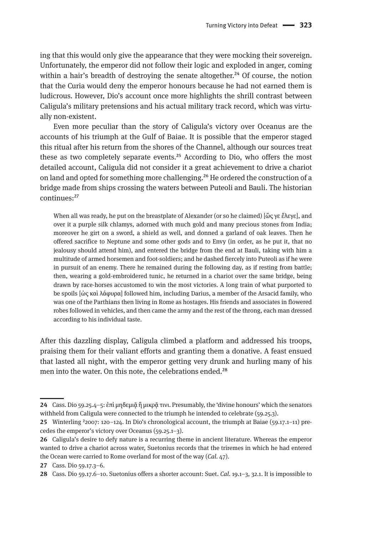ing that this would only give the appearance that they were mocking their sovereign. Unfortunately, the emperor did not follow their logic and exploded in anger, coming within a hair's breadth of destroying the senate altogether.<sup>24</sup> Of course, the notion that the Curia would deny the emperor honours because he had not earned them is ludicrous. However, Dio's account once more highlights the shrill contrast between Caligula's military pretensions and his actual military track record, which was virtually non-existent.

Even more peculiar than the story of Caligula's victory over Oceanus are the accounts of his triumph at the Gulf of Baiae. It is possible that the emperor staged this ritual after his return from the shores of the Channel, although our sources treat these as two completely separate events.<sup>25</sup> According to Dio, who offers the most detailed account, Caligula did not consider it a great achievement to drive a chariot on land and opted for something more challenging.26 He ordered the construction of a bridge made from ships crossing the waters between Puteoli and Bauli. The historian continues:27

When all was ready, he put on the breastplate of Alexander (or so he claimed) [ὥς γε ἔλεγε], and over it a purple silk chlamys, adorned with much gold and many precious stones from India; moreover he girt on a sword, a shield as well, and donned a garland of oak leaves. Then he offered sacrifice to Neptune and some other gods and to Envy (in order, as he put it, that no jealousy should attend him), and entered the bridge from the end at Bauli, taking with him a multitude of armed horsemen and foot-soldiers; and he dashed fiercely into Puteoli as if he were in pursuit of an enemy. There he remained during the following day, as if resting from battle; then, wearing a gold-embroidered tunic, he returned in a chariot over the same bridge, being drawn by race-horses accustomed to win the most victories. A long train of what purported to be spoils [ὡς καὶ λάφυρα] followed him, including Darius, a member of the Arsacid family, who was one of the Parthians then living in Rome as hostages. His friends and associates in flowered robes followed in vehicles, and then came the army and the rest of the throng, each man dressed according to his individual taste.

After this dazzling display, Caligula climbed a platform and addressed his troops, praising them for their valiant efforts and granting them a donative. A feast ensued that lasted all night, with the emperor getting very drunk and hurling many of his men into the water. On this note, the celebrations ended.<sup>28</sup>

**<sup>24</sup>** Cass. Dio 59.25.4–5: ἐπὶ μηδεμιᾶ ἢ μικρᾶ τινι. Presumably, the 'divine honours' which the senators withheld from Caligula were connected to the triumph he intended to celebrate (59.25.3).

**<sup>25</sup>** Winterling ²2007: 120–124. In Dio's chronological account, the triumph at Baiae (59.17.1–11) precedes the emperor's victory over Oceanus (59.25.1–3).

**<sup>26</sup>** Caligula's desire to defy nature is a recurring theme in ancient literature. Whereas the emperor wanted to drive a chariot across water, Suetonius records that the triremes in which he had entered the Ocean were carried to Rome overland for most of the way (*Cal.* 47).

**<sup>27</sup>** Cass. Dio 59.17.3–6.

**<sup>28</sup>** Cass. Dio 59.17.6–10. Suetonius offers a shorter account: Suet. *Cal.* 19.1–3, 32.1. It is impossible to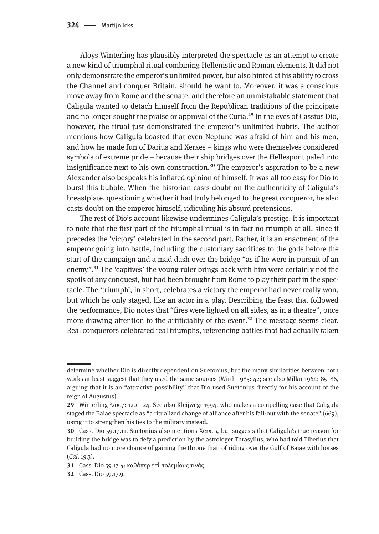Aloys Winterling has plausibly interpreted the spectacle as an attempt to create a new kind of triumphal ritual combining Hellenistic and Roman elements. It did not only demonstrate the emperor's unlimited power, but also hinted at his ability to cross the Channel and conquer Britain, should he want to. Moreover, it was a conscious move away from Rome and the senate, and therefore an unmistakable statement that Caligula wanted to detach himself from the Republican traditions of the principate and no longer sought the praise or approval of the Curia.<sup>29</sup> In the eyes of Cassius Dio, however, the ritual just demonstrated the emperor's unlimited hubris. The author mentions how Caligula boasted that even Neptune was afraid of him and his men, and how he made fun of Darius and Xerxes – kings who were themselves considered symbols of extreme pride – because their ship bridges over the Hellespont paled into insignificance next to his own construction.<sup>30</sup> The emperor's aspiration to be a new Alexander also bespeaks his inflated opinion of himself. It was all too easy for Dio to burst this bubble. When the historian casts doubt on the authenticity of Caligula's breastplate, questioning whether it had truly belonged to the great conqueror, he also casts doubt on the emperor himself, ridiculing his absurd pretensions.

The rest of Dio's account likewise undermines Caligula's prestige. It is important to note that the first part of the triumphal ritual is in fact no triumph at all, since it precedes the 'victory' celebrated in the second part. Rather, it is an enactment of the emperor going into battle, including the customary sacrifices to the gods before the start of the campaign and a mad dash over the bridge "as if he were in pursuit of an enemy".31 The 'captives' the young ruler brings back with him were certainly not the spoils of any conquest, but had been brought from Rome to play their part in the spectacle. The 'triumph', in short, celebrates a victory the emperor had never really won, but which he only staged, like an actor in a play. Describing the feast that followed the performance, Dio notes that "fires were lighted on all sides, as in a theatre", once more drawing attention to the artificiality of the event.<sup>32</sup> The message seems clear. Real conquerors celebrated real triumphs, referencing battles that had actually taken

determine whether Dio is directly dependent on Suetonius, but the many similarities between both works at least suggest that they used the same sources (Wirth 1985: 42; see also Millar 1964: 85–86, arguing that it is an "attractive possibility" that Dio used Suetonius directly for his account of the reign of Augustus).

**<sup>29</sup>** Winterling ²2007: 120–124. See also Kleijwegt 1994, who makes a compelling case that Caligula staged the Baiae spectacle as "a ritualized change of alliance after his fall-out with the senate" (669), using it to strengthen his ties to the military instead.

**<sup>30</sup>** Cass. Dio 59.17.11. Suetonius also mentions Xerxes, but suggests that Caligula's true reason for building the bridge was to defy a prediction by the astrologer Thrasyllus, who had told Tiberius that Caligula had no more chance of gaining the throne than of riding over the Gulf of Baiae with horses (*Cal.* 19.3).

**<sup>31</sup>** Cass. Dio 59.17.4: καθάπερ ἐπὶ πολεμίους τινὰς.

**<sup>32</sup>** Cass. Dio 59.17.9.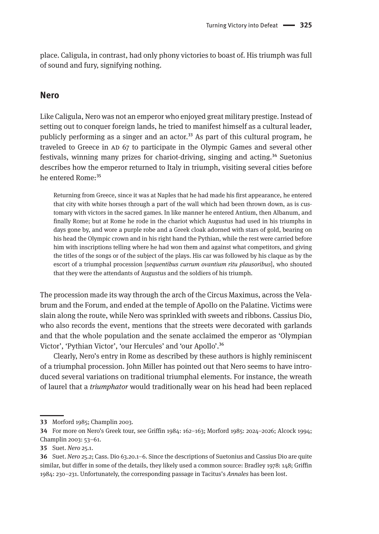place. Caligula, in contrast, had only phony victories to boast of. His triumph was full of sound and fury, signifying nothing.

#### **Nero**

Like Caligula, Nero was not an emperor who enjoyed great military prestige. Instead of setting out to conquer foreign lands, he tried to manifest himself as a cultural leader, publicly performing as a singer and an actor.<sup>33</sup> As part of this cultural program, he traveled to Greece in AD 67 to participate in the Olympic Games and several other festivals, winning many prizes for chariot-driving, singing and acting.<sup>34</sup> Suetonius describes how the emperor returned to Italy in triumph, visiting several cities before he entered Rome:<sup>35</sup>

Returning from Greece, since it was at Naples that he had made his first appearance, he entered that city with white horses through a part of the wall which had been thrown down, as is customary with victors in the sacred games. In like manner he entered Antium, then Albanum, and finally Rome; but at Rome he rode in the chariot which Augustus had used in his triumphs in days gone by, and wore a purple robe and a Greek cloak adorned with stars of gold, bearing on his head the Olympic crown and in his right hand the Pythian, while the rest were carried before him with inscriptions telling where he had won them and against what competitors, and giving the titles of the songs or of the subject of the plays. His car was followed by his claque as by the escort of a triumphal procession [*sequentibus currum ovantium ritu plausoribus*], who shouted that they were the attendants of Augustus and the soldiers of his triumph.

The procession made its way through the arch of the Circus Maximus, across the Velabrum and the Forum, and ended at the temple of Apollo on the Palatine. Victims were slain along the route, while Nero was sprinkled with sweets and ribbons. Cassius Dio, who also records the event, mentions that the streets were decorated with garlands and that the whole population and the senate acclaimed the emperor as 'Olympian Victor', 'Pythian Victor', 'our Hercules' and 'our Apollo'.36

Clearly, Nero's entry in Rome as described by these authors is highly reminiscent of a triumphal procession. John Miller has pointed out that Nero seems to have introduced several variations on traditional triumphal elements. For instance, the wreath of laurel that a *triumphator* would traditionally wear on his head had been replaced

**<sup>33</sup>** Morford 1985; Champlin 2003.

**<sup>34</sup>** For more on Nero's Greek tour, see Griffin 1984: 162–163; Morford 1985: 2024–2026; Alcock 1994; Champlin 2003: 53–61.

**<sup>35</sup>** Suet. *Nero* 25.1.

**<sup>36</sup>** Suet. *Nero* 25.2; Cass. Dio 63.20.1–6. Since the descriptions of Suetonius and Cassius Dio are quite similar, but differ in some of the details, they likely used a common source: Bradley 1978: 148; Griffin 1984: 230–231. Unfortunately, the corresponding passage in Tacitus's *Annales* has been lost.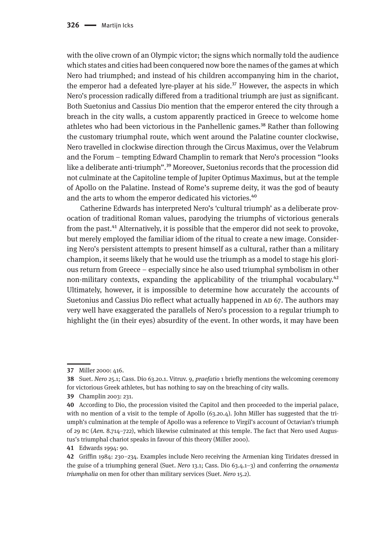with the olive crown of an Olympic victor; the signs which normally told the audience which states and cities had been conquered now bore the names of the games at which Nero had triumphed; and instead of his children accompanying him in the chariot, the emperor had a defeated lyre-player at his side.<sup>37</sup> However, the aspects in which Nero's procession radically differed from a traditional triumph are just as significant. Both Suetonius and Cassius Dio mention that the emperor entered the city through a breach in the city walls, a custom apparently practiced in Greece to welcome home athletes who had been victorious in the Panhellenic games.<sup>38</sup> Rather than following the customary triumphal route, which went around the Palatine counter clockwise, Nero travelled in clockwise direction through the Circus Maximus, over the Velabrum and the Forum – tempting Edward Champlin to remark that Nero's procession "looks like a deliberate anti-triumph".<sup>39</sup> Moreover, Suetonius records that the procession did not culminate at the Capitoline temple of Jupiter Optimus Maximus, but at the temple of Apollo on the Palatine. Instead of Rome's supreme deity, it was the god of beauty and the arts to whom the emperor dedicated his victories.<sup>40</sup>

Catherine Edwards has interpreted Nero's 'cultural triumph' as a deliberate provocation of traditional Roman values, parodying the triumphs of victorious generals from the past.<sup>41</sup> Alternatively, it is possible that the emperor did not seek to provoke, but merely employed the familiar idiom of the ritual to create a new image. Considering Nero's persistent attempts to present himself as a cultural, rather than a military champion, it seems likely that he would use the triumph as a model to stage his glorious return from Greece – especially since he also used triumphal symbolism in other non-military contexts, expanding the applicability of the triumphal vocabulary.<sup>42</sup> Ultimately, however, it is impossible to determine how accurately the accounts of Suetonius and Cassius Dio reflect what actually happened in AD 67. The authors may very well have exaggerated the parallels of Nero's procession to a regular triumph to highlight the (in their eyes) absurdity of the event. In other words, it may have been

**<sup>37</sup>** Miller 2000: 416.

**<sup>38</sup>** Suet. *Nero* 25.1; Cass. Dio 63.20.1. Vitruv. 9, *praefatio* 1 briefly mentions the welcoming ceremony for victorious Greek athletes, but has nothing to say on the breaching of city walls.

**<sup>39</sup>** Champlin 2003: 231.

**<sup>40</sup>** According to Dio, the procession visited the Capitol and then proceeded to the imperial palace, with no mention of a visit to the temple of Apollo (63.20.4). John Miller has suggested that the triumph's culmination at the temple of Apollo was a reference to Virgil's account of Octavian's triumph of 29 bc (*Aen.* 8.714–722), which likewise culminated at this temple. The fact that Nero used Augustus's triumphal chariot speaks in favour of this theory (Miller 2000).

**<sup>41</sup>** Edwards 1994: 90.

**<sup>42</sup>** Griffin 1984: 230–234. Examples include Nero receiving the Armenian king Tiridates dressed in the guise of a triumphing general (Suet. *Nero* 13.1; Cass. Dio 63.4.1–3) and conferring the *ornamenta triumphalia* on men for other than military services (Suet. *Nero* 15.2).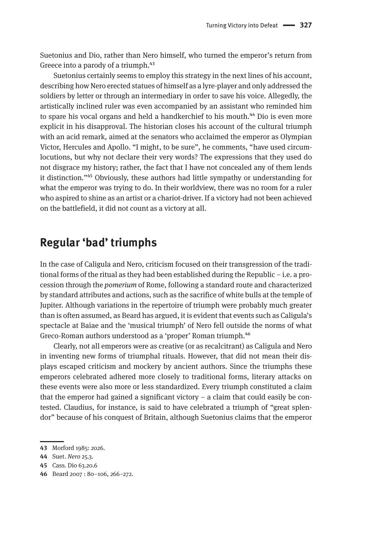Suetonius and Dio, rather than Nero himself, who turned the emperor's return from Greece into a parody of a triumph.<sup>43</sup>

Suetonius certainly seems to employ this strategy in the next lines of his account, describing how Nero erected statues of himself as a lyre-player and only addressed the soldiers by letter or through an intermediary in order to save his voice. Allegedly, the artistically inclined ruler was even accompanied by an assistant who reminded him to spare his vocal organs and held a handkerchief to his mouth.<sup>44</sup> Dio is even more explicit in his disapproval. The historian closes his account of the cultural triumph with an acid remark, aimed at the senators who acclaimed the emperor as Olympian Victor, Hercules and Apollo. "I might, to be sure", he comments, "have used circumlocutions, but why not declare their very words? The expressions that they used do not disgrace my history; rather, the fact that I have not concealed any of them lends it distinction."45 Obviously, these authors had little sympathy or understanding for what the emperor was trying to do. In their worldview, there was no room for a ruler who aspired to shine as an artist or a chariot-driver. If a victory had not been achieved on the battlefield, it did not count as a victory at all.

### **Regular 'bad' triumphs**

In the case of Caligula and Nero, criticism focused on their transgression of the traditional forms of the ritual as they had been established during the Republic – i.e. a procession through the *pomerium* of Rome, following a standard route and characterized by standard attributes and actions, such as the sacrifice of white bulls at the temple of Jupiter. Although variations in the repertoire of triumph were probably much greater than is often assumed, as Beard has argued, it is evident that events such as Caligula's spectacle at Baiae and the 'musical triumph' of Nero fell outside the norms of what Greco-Roman authors understood as a 'proper' Roman triumph.<sup>46</sup>

Clearly, not all emperors were as creative (or as recalcitrant) as Caligula and Nero in inventing new forms of triumphal rituals. However, that did not mean their displays escaped criticism and mockery by ancient authors. Since the triumphs these emperors celebrated adhered more closely to traditional forms, literary attacks on these events were also more or less standardized. Every triumph constituted a claim that the emperor had gained a significant victory – a claim that could easily be contested. Claudius, for instance, is said to have celebrated a triumph of "great splendor" because of his conquest of Britain, although Suetonius claims that the emperor

**<sup>43</sup>** Morford 1985: 2026.

**<sup>44</sup>** Suet. *Nero* 25.3.

**<sup>45</sup>** Cass. Dio 63.20.6

**<sup>46</sup>** Beard 2007 : 80–106, 266–272.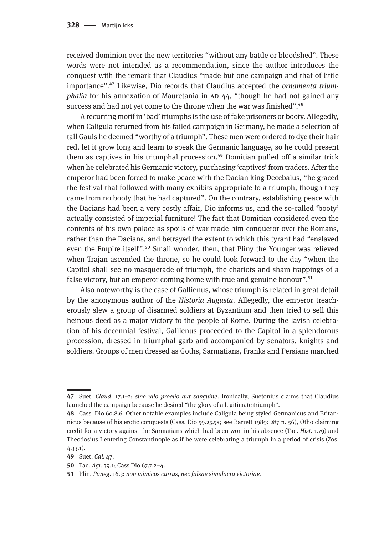received dominion over the new territories "without any battle or bloodshed". These words were not intended as a recommendation, since the author introduces the conquest with the remark that Claudius "made but one campaign and that of little importance".47 Likewise, Dio records that Claudius accepted the *ornamenta triumphalia* for his annexation of Mauretania in AD 44, "though he had not gained any success and had not yet come to the throne when the war was finished".<sup>48</sup>

A recurring motif in 'bad' triumphs is the use of fake prisoners or booty. Allegedly, when Caligula returned from his failed campaign in Germany, he made a selection of tall Gauls he deemed "worthy of a triumph". These men were ordered to dye their hair red, let it grow long and learn to speak the Germanic language, so he could present them as captives in his triumphal procession.<sup>49</sup> Domitian pulled off a similar trick when he celebrated his Germanic victory, purchasing 'captives' from traders. After the emperor had been forced to make peace with the Dacian king Decebalus, "he graced the festival that followed with many exhibits appropriate to a triumph, though they came from no booty that he had captured". On the contrary, establishing peace with the Dacians had been a very costly affair, Dio informs us, and the so-called 'booty' actually consisted of imperial furniture! The fact that Domitian considered even the contents of his own palace as spoils of war made him conqueror over the Romans, rather than the Dacians, and betrayed the extent to which this tyrant had "enslaved even the Empire itself".<sup>50</sup> Small wonder, then, that Pliny the Younger was relieved when Trajan ascended the throne, so he could look forward to the day "when the Capitol shall see no masquerade of triumph, the chariots and sham trappings of a false victory, but an emperor coming home with true and genuine honour".<sup>51</sup>

Also noteworthy is the case of Gallienus, whose triumph is related in great detail by the anonymous author of the *Historia Augusta*. Allegedly, the emperor treacherously slew a group of disarmed soldiers at Byzantium and then tried to sell this heinous deed as a major victory to the people of Rome. During the lavish celebration of his decennial festival, Gallienus proceeded to the Capitol in a splendorous procession, dressed in triumphal garb and accompanied by senators, knights and soldiers. Groups of men dressed as Goths, Sarmatians, Franks and Persians marched

**<sup>47</sup>** Suet. *Claud.* 17.1–2: *sine ullo proelio aut sanguine*. Ironically, Suetonius claims that Claudius launched the campaign because he desired "the glory of a legitimate triumph".

**<sup>48</sup>** Cass. Dio 60.8.6. Other notable examples include Caligula being styled Germanicus and Britannicus because of his erotic conquests (Cass. Dio 59.25.5a; see Barrett 1989: 287 n. 56), Otho claiming credit for a victory against the Sarmatians which had been won in his absence (Tac. *Hist.* 1.79) and Theodosius I entering Constantinople as if he were celebrating a triumph in a period of crisis (Zos. 4.33.1).

**<sup>49</sup>** Suet. *Cal.* 47.

**<sup>50</sup>** Tac. *Agr.* 39.1; Cass Dio 67.7.2–4.

**<sup>51</sup>** Plin. *Paneg*. 16.3: *non mimicos currus, nec falsae simulacra victoriae*.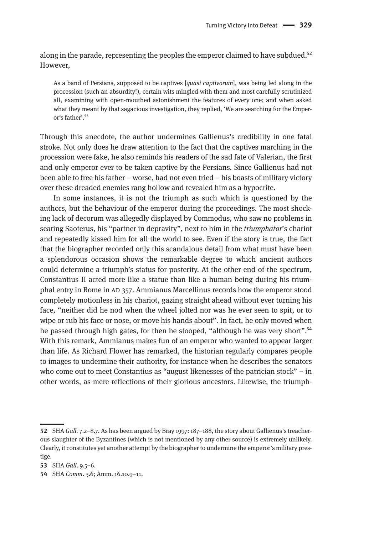along in the parade, representing the peoples the emperor claimed to have subdued.<sup>52</sup> However,

As a band of Persians, supposed to be captives [*quasi captivorum*], was being led along in the procession (such an absurdity!), certain wits mingled with them and most carefully scrutinized all, examining with open-mouthed astonishment the features of every one; and when asked what they meant by that sagacious investigation, they replied, 'We are searching for the Emperor's father'.53

Through this anecdote, the author undermines Gallienus's credibility in one fatal stroke. Not only does he draw attention to the fact that the captives marching in the procession were fake, he also reminds his readers of the sad fate of Valerian, the first and only emperor ever to be taken captive by the Persians. Since Gallienus had not been able to free his father – worse, had not even tried – his boasts of military victory over these dreaded enemies rang hollow and revealed him as a hypocrite.

In some instances, it is not the triumph as such which is questioned by the authors, but the behaviour of the emperor during the proceedings. The most shocking lack of decorum was allegedly displayed by Commodus, who saw no problems in seating Saoterus, his "partner in depravity", next to him in the *triumphator*'s chariot and repeatedly kissed him for all the world to see. Even if the story is true, the fact that the biographer recorded only this scandalous detail from what must have been a splendorous occasion shows the remarkable degree to which ancient authors could determine a triumph's status for posterity. At the other end of the spectrum, Constantius II acted more like a statue than like a human being during his triumphal entry in Rome in ad 357. Ammianus Marcellinus records how the emperor stood completely motionless in his chariot, gazing straight ahead without ever turning his face, "neither did he nod when the wheel jolted nor was he ever seen to spit, or to wipe or rub his face or nose, or move his hands about". In fact, he only moved when he passed through high gates, for then he stooped, "although he was very short".<sup>54</sup> With this remark, Ammianus makes fun of an emperor who wanted to appear larger than life. As Richard Flower has remarked, the historian regularly compares people to images to undermine their authority, for instance when he describes the senators who come out to meet Constantius as "august likenesses of the patrician stock" – in other words, as mere reflections of their glorious ancestors. Likewise, the triumph-

**<sup>52</sup>** SHA *Gall.* 7.2–8.7. As has been argued by Bray 1997: 187–188, the story about Gallienus's treacherous slaughter of the Byzantines (which is not mentioned by any other source) is extremely unlikely. Clearly, it constitutes yet another attempt by the biographer to undermine the emperor's military prestige.

**<sup>53</sup>** SHA *Gall.* 9.5–6.

**<sup>54</sup>** SHA *Comm*. 3.6; Amm. 16.10.9–11.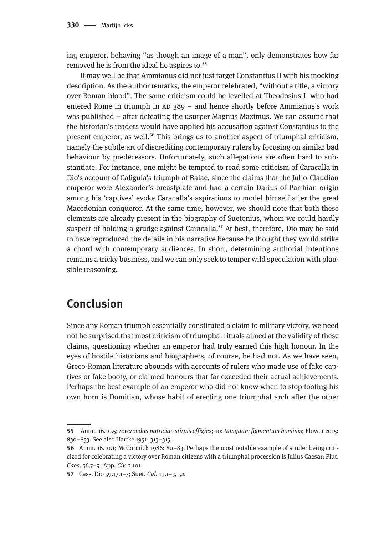ing emperor, behaving "as though an image of a man", only demonstrates how far removed he is from the ideal he aspires to.<sup>55</sup>

It may well be that Ammianus did not just target Constantius II with his mocking description. As the author remarks, the emperor celebrated, "without a title, a victory over Roman blood". The same criticism could be levelled at Theodosius I, who had entered Rome in triumph in  $AD$  389 – and hence shortly before Ammianus's work was published – after defeating the usurper Magnus Maximus. We can assume that the historian's readers would have applied his accusation against Constantius to the present emperor, as well.<sup>56</sup> This brings us to another aspect of triumphal criticism, namely the subtle art of discrediting contemporary rulers by focusing on similar bad behaviour by predecessors. Unfortunately, such allegations are often hard to substantiate. For instance, one might be tempted to read some criticism of Caracalla in Dio's account of Caligula's triumph at Baiae, since the claims that the Julio-Claudian emperor wore Alexander's breastplate and had a certain Darius of Parthian origin among his 'captives' evoke Caracalla's aspirations to model himself after the great Macedonian conqueror. At the same time, however, we should note that both these elements are already present in the biography of Suetonius, whom we could hardly suspect of holding a grudge against Caracalla.<sup>57</sup> At best, therefore, Dio may be said to have reproduced the details in his narrative because he thought they would strike a chord with contemporary audiences. In short, determining authorial intentions remains a tricky business, and we can only seek to temper wild speculation with plausible reasoning.

### **Conclusion**

Since any Roman triumph essentially constituted a claim to military victory, we need not be surprised that most criticism of triumphal rituals aimed at the validity of these claims, questioning whether an emperor had truly earned this high honour. In the eyes of hostile historians and biographers, of course, he had not. As we have seen, Greco-Roman literature abounds with accounts of rulers who made use of fake captives or fake booty, or claimed honours that far exceeded their actual achievements. Perhaps the best example of an emperor who did not know when to stop tooting his own horn is Domitian, whose habit of erecting one triumphal arch after the other

**<sup>55</sup>** Amm. 16.10.5: *reverendas patriciae stirpis effigies*; 10: *tamquam figmentum hominis*; Flower 2015: 830–833. See also Hartke 1951: 313–315.

**<sup>56</sup>** Amm. 16.10.1; McCormick 1986: 80–83. Perhaps the most notable example of a ruler being criticized for celebrating a victory over Roman citizens with a triumphal procession is Julius Caesar: Plut. *Caes*. 56.7–9; App. *Civ.* 2.101.

**<sup>57</sup>** Cass. Dio 59.17.1–7; Suet. *Cal.* 19.1–3, 52.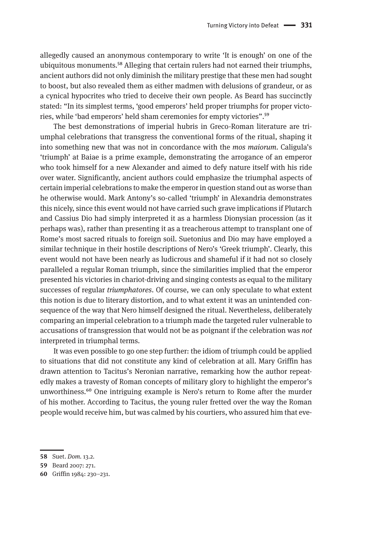allegedly caused an anonymous contemporary to write 'It is enough' on one of the ubiquitous monuments.<sup>58</sup> Alleging that certain rulers had not earned their triumphs, ancient authors did not only diminish the military prestige that these men had sought to boost, but also revealed them as either madmen with delusions of grandeur, or as a cynical hypocrites who tried to deceive their own people. As Beard has succinctly stated: "In its simplest terms, 'good emperors' held proper triumphs for proper victories, while 'bad emperors' held sham ceremonies for empty victories".59

The best demonstrations of imperial hubris in Greco-Roman literature are triumphal celebrations that transgress the conventional forms of the ritual, shaping it into something new that was not in concordance with the *mos maiorum*. Caligula's 'triumph' at Baiae is a prime example, demonstrating the arrogance of an emperor who took himself for a new Alexander and aimed to defy nature itself with his ride over water. Significantly, ancient authors could emphasize the triumphal aspects of certain imperial celebrations to make the emperor in question stand out as worse than he otherwise would. Mark Antony's so-called 'triumph' in Alexandria demonstrates this nicely, since this event would not have carried such grave implications if Plutarch and Cassius Dio had simply interpreted it as a harmless Dionysian procession (as it perhaps was), rather than presenting it as a treacherous attempt to transplant one of Rome's most sacred rituals to foreign soil. Suetonius and Dio may have employed a similar technique in their hostile descriptions of Nero's 'Greek triumph'. Clearly, this event would not have been nearly as ludicrous and shameful if it had not so closely paralleled a regular Roman triumph, since the similarities implied that the emperor presented his victories in chariot-driving and singing contests as equal to the military successes of regular *triumphatores*. Of course, we can only speculate to what extent this notion is due to literary distortion, and to what extent it was an unintended consequence of the way that Nero himself designed the ritual. Nevertheless, deliberately comparing an imperial celebration to a triumph made the targeted ruler vulnerable to accusations of transgression that would not be as poignant if the celebration was *not*  interpreted in triumphal terms.

It was even possible to go one step further: the idiom of triumph could be applied to situations that did not constitute any kind of celebration at all. Mary Griffin has drawn attention to Tacitus's Neronian narrative, remarking how the author repeatedly makes a travesty of Roman concepts of military glory to highlight the emperor's unworthiness.<sup>60</sup> One intriguing example is Nero's return to Rome after the murder of his mother. According to Tacitus, the young ruler fretted over the way the Roman people would receive him, but was calmed by his courtiers, who assured him that eve-

**<sup>58</sup>** Suet. *Dom.* 13.2.

**<sup>59</sup>** Beard 2007: 271.

**<sup>60</sup>** Griffin 1984: 230–231.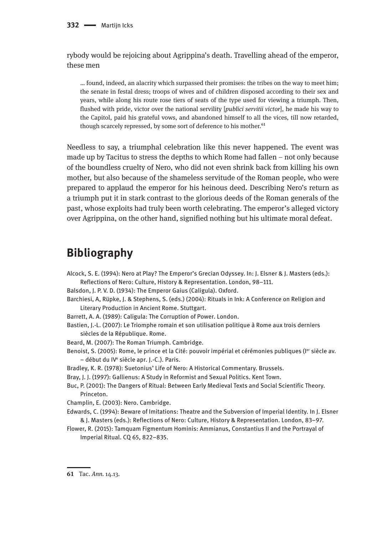rybody would be rejoicing about Agrippina's death. Travelling ahead of the emperor, these men

… found, indeed, an alacrity which surpassed their promises: the tribes on the way to meet him; the senate in festal dress; troops of wives and of children disposed according to their sex and years, while along his route rose tiers of seats of the type used for viewing a triumph. Then, flushed with pride, victor over the national servility [*publici servitii victor*], he made his way to the Capitol, paid his grateful vows, and abandoned himself to all the vices, till now retarded, though scarcely repressed, by some sort of deference to his mother.<sup>61</sup>

Needless to say, a triumphal celebration like this never happened. The event was made up by Tacitus to stress the depths to which Rome had fallen – not only because of the boundless cruelty of Nero, who did not even shrink back from killing his own mother, but also because of the shameless servitude of the Roman people, who were prepared to applaud the emperor for his heinous deed. Describing Nero's return as a triumph put it in stark contrast to the glorious deeds of the Roman generals of the past, whose exploits had truly been worth celebrating. The emperor's alleged victory over Agrippina, on the other hand, signified nothing but his ultimate moral defeat.

## **Bibliography**

Alcock, S. E. (1994): Nero at Play? The Emperor's Grecian Odyssey. In: J. Elsner & J. Masters (eds.): Reflections of Nero: Culture, History & Representation. London, 98–111.

Balsdon, J. P. V. D. (1934): The Emperor Gaius (Caligula). Oxford.

Barchiesi, A, Rüpke, J. & Stephens, S. (eds.) (2004): Rituals in Ink: A Conference on Religion and Literary Production in Ancient Rome. Stuttgart.

Barrett, A. A. (1989): Caligula: The Corruption of Power. London.

Bastien, J.-L. (2007): Le Triomphe romain et son utilisation politique à Rome aux trois derniers siècles de la République. Rome.

Beard, M. (2007): The Roman Triumph. Cambridge.

Benoist, S. (2005): Rome, le prince et la Cité: pouvoir impérial et cérémonies publiques (ler siècle av. – début du IVe siècle apr. J.-C.). Paris.

Bradley, K. R. (1978): Suetonius' Life of Nero: A Historical Commentary. Brussels.

Bray, J. J. (1997): Gallienus: A Study in Reformist and Sexual Politics. Kent Town.

Buc, P. (2001): The Dangers of Ritual: Between Early Medieval Texts and Social Scientific Theory. Princeton.

Champlin, E. (2003): Nero. Cambridge.

Edwards, C. (1994): Beware of Imitations: Theatre and the Subversion of Imperial Identity. In J. Elsner & J. Masters (eds.): Reflections of Nero: Culture, History & Representation. London, 83–97.

Flower, R. (2015): Tamquam Figmentum Hominis: Ammianus, Constantius II and the Portrayal of Imperial Ritual. CQ 65, 822–835.

**<sup>61</sup>** Tac. *Ann.* 14.13.